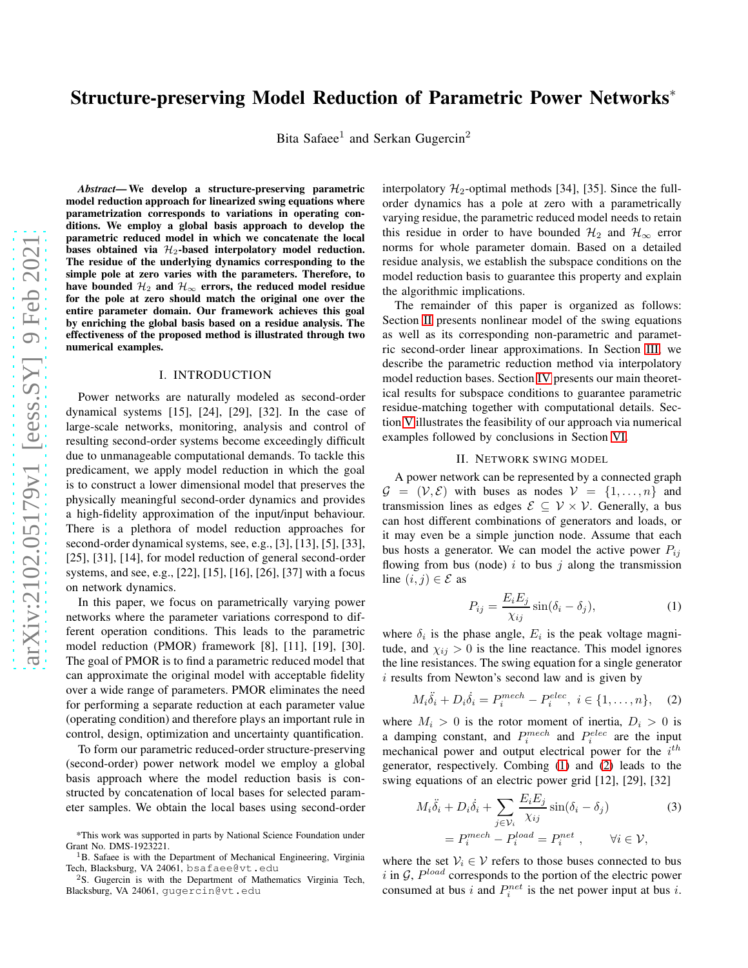# Structure-preserving Model Reduction of Parametric Power Networks<sup>∗</sup>

Bita Safaee<sup>1</sup> and Serkan Gugercin<sup>2</sup>

*Abstract*— We develop a structure-preserving parametric model reduction approach for linearized swing equations where parametrization corresponds to variations in operating conditions. We employ a global basis approach to develop the parametric reduced model in which we concatenate the local bases obtained via  $\mathcal{H}_2$ -based interpolatory model reduction. The residue of the underlying dynamics corresponding to the simple pole at zero varies with the parameters. Therefore, to have bounded  $\mathcal{H}_2$  and  $\mathcal{H}_{\infty}$  errors, the reduced model residue for the pole at zero should match the original one over the entire parameter domain. Our framework achieves this goal by enriching the global basis based on a residue analysis. The effectiveness of the proposed method is illustrated through two numerical examples.

#### I. INTRODUCTION

Power networks are naturally modeled as second-order dynamical systems [15], [24], [29], [32]. In the case of large-scale networks, monitoring, analysis and control of resulting second-order systems become exceedingly difficult due to unmanageable computational demands. To tackle this predicament, we apply model reduction in which the goal is to construct a lower dimensional model that preserves the physically meaningful second-order dynamics and provides a high-fidelity approximation of the input/input behaviour. There is a plethora of model reduction approaches for second-order dynamical systems, see, e.g., [3], [13], [5], [33], [25], [31], [14], for model reduction of general second-order systems, and see, e.g., [22], [15], [16], [26], [37] with a focus on network dynamics.

In this paper, we focus on parametrically varying power networks where the parameter variations correspond to different operation conditions. This leads to the parametric model reduction (PMOR) framework [8], [11], [19], [30]. The goal of PMOR is to find a parametric reduced model that can approximate the original model with acceptable fidelity over a wide range of parameters. PMOR eliminates the need for performing a separate reduction at each parameter value (operating condition) and therefore plays an important rule in control, design, optimization and uncertainty quantification.

To form our parametric reduced-order structure-preserving (second-order) power network model we employ a global basis approach where the model reduction basis is constructed by concatenation of local bases for selected parameter samples. We obtain the local bases using second-order

interpolatory  $\mathcal{H}_2$ -optimal methods [34], [35]. Since the fullorder dynamics has a pole at zero with a parametrically varying residue, the parametric reduced model needs to retain this residue in order to have bounded  $\mathcal{H}_2$  and  $\mathcal{H}_{\infty}$  error norms for whole parameter domain. Based on a detailed residue analysis, we establish the subspace conditions on the model reduction basis to guarantee this property and explain the algorithmic implications.

The remainder of this paper is organized as follows: Section [II](#page-0-0) presents nonlinear model of the swing equations as well as its corresponding non-parametric and parametric second-order linear approximations. In Section [III,](#page-1-0) we describe the parametric reduction method via interpolatory model reduction bases. Section [IV](#page-2-0) presents our main theoretical results for subspace conditions to guarantee parametric residue-matching together with computational details. Section [V](#page-4-0) illustrates the feasibility of our approach via numerical examples followed by conclusions in Section [VI.](#page-4-1)

#### II. NETWORK SWING MODEL

<span id="page-0-0"></span>A power network can be represented by a connected graph  $\mathcal{G} = (\mathcal{V}, \mathcal{E})$  with buses as nodes  $\mathcal{V} = \{1, \ldots, n\}$  and transmission lines as edges  $\mathcal{E} \subseteq \mathcal{V} \times \mathcal{V}$ . Generally, a bus can host different combinations of generators and loads, or it may even be a simple junction node. Assume that each bus hosts a generator. We can model the active power  $P_{ij}$ flowing from bus (node) i to bus j along the transmission line  $(i, j) \in \mathcal{E}$  as

<span id="page-0-2"></span><span id="page-0-1"></span>
$$
P_{ij} = \frac{E_i E_j}{\chi_{ij}} \sin(\delta_i - \delta_j),\tag{1}
$$

where  $\delta_i$  is the phase angle,  $E_i$  is the peak voltage magnitude, and  $\chi_{ij} > 0$  is the line reactance. This model ignores the line resistances. The swing equation for a single generator i results from Newton's second law and is given by

$$
M_i\ddot{\delta}_i + D_i\dot{\delta}_i = P_i^{mech} - P_i^{elec}, \ i \in \{1, \dots, n\}, \quad (2)
$$

where  $M_i > 0$  is the rotor moment of inertia,  $D_i > 0$  is a damping constant, and  $P_i^{mech}$  and  $P_i^{elec}$  are the input mechanical power and output electrical power for the  $i<sup>th</sup>$ generator, respectively. Combing [\(1\)](#page-0-1) and [\(2\)](#page-0-2) leads to the swing equations of an electric power grid [12], [29], [32]

<span id="page-0-3"></span>
$$
M_i \ddot{\delta}_i + D_i \dot{\delta}_i + \sum_{j \in \mathcal{V}_i} \frac{E_i E_j}{\chi_{ij}} \sin(\delta_i - \delta_j)
$$
  
=  $P_i^{mech} - P_i^{load} = P_i^{net}$ ,  $\forall i \in \mathcal{V}$ , (3)

where the set  $V_i \in V$  refers to those buses connected to bus i in  $G$ ,  $P^{load}$  corresponds to the portion of the electric power consumed at bus i and  $P_i^{net}$  is the net power input at bus i.

<sup>\*</sup>This work was supported in parts by National Science Foundation under Grant No. DMS-1923221.

<sup>&</sup>lt;sup>1</sup>B. Safaee is with the Department of Mechanical Engineering, Virginia Tech, Blacksburg, VA 24061, bsafaee@vt.edu

<sup>&</sup>lt;sup>2</sup>S. Gugercin is with the Department of Mathematics Virginia Tech, Blacksburg, VA 24061, gugercin@vt.edu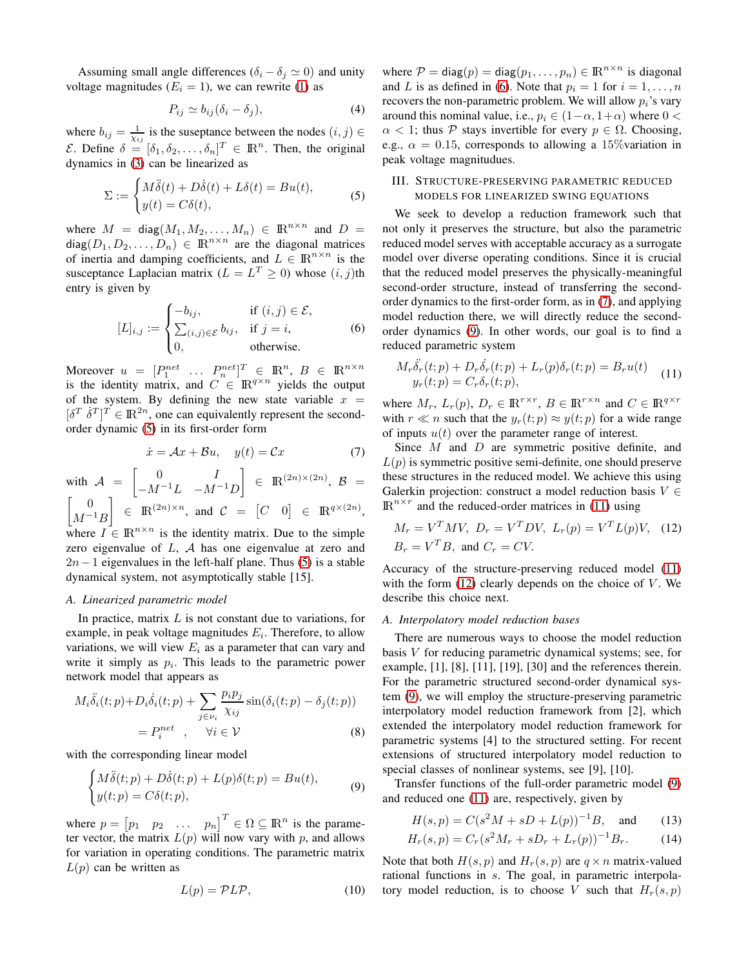Assuming small angle differences ( $\delta_i - \delta_j \simeq 0$ ) and unity voltage magnitudes ( $E_i = 1$ ), we can rewrite [\(1\)](#page-0-1) as

$$
P_{ij} \simeq b_{ij} (\delta_i - \delta_j), \tag{4}
$$

where  $b_{ij} = \frac{1}{\chi_{ij}}$  is the suseptance between the nodes  $(i, j) \in$  $\mathcal{E}.$  Define  $\delta = [\delta_1, \delta_2, \ldots, \delta_n]^T \in \mathbb{R}^n$ . Then, the original dynamics in [\(3\)](#page-0-3) can be linearized as

<span id="page-1-1"></span>
$$
\Sigma := \begin{cases} M\ddot{\delta}(t) + D\dot{\delta}(t) + L\delta(t) = Bu(t), \\ y(t) = C\delta(t), \end{cases}
$$
 (5)

where  $M = diag(M_1, M_2, ..., M_n) \in \mathbb{R}^{n \times n}$  and  $D =$ diag $(D_1, D_2, \ldots, D_n) \in \mathbb{R}^{n \times n}$  are the diagonal matrices of inertia and damping coefficients, and  $L \in \mathbb{R}^{n \times n}$  is the susceptance Laplacian matrix ( $L = L^T \ge 0$ ) whose  $(i, j)$ th entry is given by

<span id="page-1-2"></span>
$$
[L]_{i,j} := \begin{cases} -b_{ij}, & \text{if } (i,j) \in \mathcal{E}, \\ \sum_{(i,j) \in \mathcal{E}} b_{ij}, & \text{if } j = i, \\ 0, & \text{otherwise.} \end{cases}
$$
(6)

Moreover  $u = [P_1^{net} \dots P_n^{net}]^T \in \mathbb{R}^n, B \in \mathbb{R}^{n \times n}$ is the identity matrix, and  $C \in \mathbb{R}^{q \times n}$  yields the output of the system. By defining the new state variable  $x =$  $[\delta^T \dot{\delta}^T]^T \in \mathbb{R}^{2n}$ , one can equivalently represent the secondorder dynamic [\(5\)](#page-1-1) in its first-order form

$$
\dot{x} = Ax + Bu, \quad y(t) = Cx \tag{7}
$$

with  $A =$  $\begin{bmatrix} 0 & I \end{bmatrix}$  $-M^{-1}L$   $-M^{-1}D$  $\Big] \ \in \ \mathop{\mathrm{I\!R}}\nolimits^{(2n)\times (2n)}, \ \mathcal{B} \ =$  $\begin{bmatrix} 0 \end{bmatrix}$  $M^{-1}B$  $\Big] \in \mathbb{R}^{(2n)\times n}$ , and  $C = [C \quad 0] \in \mathbb{R}^{q\times (2n)}$ , where  $I \in \mathbb{R}^{n \times n}$  is the identity matrix. Due to the simple zero eigenvalue of L, A has one eigenvalue at zero and  $2n-1$  eigenvalues in the left-half plane. Thus [\(5\)](#page-1-1) is a stable dynamical system, not asymptotically stable [15].

## *A. Linearized parametric model*

In practice, matrix  $L$  is not constant due to variations, for example, in peak voltage magnitudes  $E_i$ . Therefore, to allow variations, we will view  $E_i$  as a parameter that can vary and write it simply as  $p_i$ . This leads to the parametric power network model that appears as

$$
M_i \ddot{\delta}_i(t; p) + D_i \dot{\delta}_i(t; p) + \sum_{j \in \nu_i} \frac{p_i p_j}{\chi_{ij}} \sin(\delta_i(t; p) - \delta_j(t; p))
$$
  
=  $P_i^{net}$ ,  $\forall i \in \mathcal{V}$  (8)

with the corresponding linear model

<span id="page-1-4"></span>
$$
\begin{cases}\nM\ddot{\delta}(t;p) + D\dot{\delta}(t;p) + L(p)\delta(t;p) = Bu(t), \\
y(t;p) = C\delta(t;p),\n\end{cases}
$$
\n(9)

where  $p = \begin{bmatrix} p_1 & p_2 & \dots & p_n \end{bmatrix}^T \in \Omega \subseteq \mathbb{R}^n$  is the parameter vector, the matrix  $L(p)$  will now vary with p, and allows for variation in operating conditions. The parametric matrix  $L(p)$  can be written as

$$
L(p) = \mathcal{P}L\mathcal{P},\tag{10}
$$

where  $P = diag(p) = diag(p_1, ..., p_n) \in \mathbb{R}^{n \times n}$  is diagonal and L is as defined in [\(6\)](#page-1-2). Note that  $p_i = 1$  for  $i = 1, \ldots, n$ recovers the non-parametric problem. We will allow  $p_i$ 's vary around this nominal value, i.e.,  $p_i \in (1-\alpha, 1+\alpha)$  where  $0 <$  $\alpha$  < 1; thus P stays invertible for every  $p \in \Omega$ . Choosing, e.g.,  $\alpha = 0.15$ , corresponds to allowing a 15% variation in peak voltage magnitudues.

# <span id="page-1-0"></span>III. STRUCTURE-PRESERVING PARAMETRIC REDUCED MODELS FOR LINEARIZED SWING EQUATIONS

We seek to develop a reduction framework such that not only it preserves the structure, but also the parametric reduced model serves with acceptable accuracy as a surrogate model over diverse operating conditions. Since it is crucial that the reduced model preserves the physically-meaningful second-order structure, instead of transferring the secondorder dynamics to the first-order form, as in [\(7\)](#page-1-3), and applying model reduction there, we will directly reduce the secondorder dynamics [\(9\)](#page-1-4). In other words, our goal is to find a reduced parametric system

<span id="page-1-5"></span>
$$
M_r \ddot{\delta}_r(t;p) + D_r \dot{\delta}_r(t;p) + L_r(p) \delta_r(t;p) = B_r u(t)
$$
  

$$
y_r(t;p) = C_r \delta_r(t;p),
$$
 (11)

where  $M_r$ ,  $L_r(p)$ ,  $D_r \in \mathbb{R}^{r \times r}$ ,  $B \in \mathbb{R}^{r \times n}$  and  $C \in \mathbb{R}^{q \times r}$ with  $r \ll n$  such that the  $y_r(t; p) \approx y(t; p)$  for a wide range of inputs  $u(t)$  over the parameter range of interest.

<span id="page-1-3"></span>Since M and D are symmetric positive definite, and  $L(p)$  is symmetric positive semi-definite, one should preserve these structures in the reduced model. We achieve this using Galerkin projection: construct a model reduction basis  $V \in$  $\mathbb{R}^{n \times r}$  and the reduced-order matrices in [\(11\)](#page-1-5) using

<span id="page-1-6"></span>
$$
M_r = V^T M V, \ D_r = V^T D V, \ L_r(p) = V^T L(p) V, \quad (12)
$$
  

$$
B_r = V^T B, \text{ and } C_r = CV.
$$

Accuracy of the structure-preserving reduced model [\(11\)](#page-1-5) with the form  $(12)$  clearly depends on the choice of V. We describe this choice next.

## <span id="page-1-7"></span>*A. Interpolatory model reduction bases*

There are numerous ways to choose the model reduction basis V for reducing parametric dynamical systems; see, for example,  $[1]$ ,  $[8]$ ,  $[11]$ ,  $[19]$ ,  $[30]$  and the references therein. For the parametric structured second-order dynamical system [\(9\)](#page-1-4), we will employ the structure-preserving parametric interpolatory model reduction framework from [2], which extended the interpolatory model reduction framework for parametric systems [4] to the structured setting. For recent extensions of structured interpolatory model reduction to special classes of nonlinear systems, see [9], [10].

Transfer functions of the full-order parametric model [\(9\)](#page-1-4) and reduced one [\(11\)](#page-1-5) are, respectively, given by

$$
H(s, p) = C(s2M + sD + L(p))-1B, and
$$
 (13)

$$
H_r(s,p) = C_r(s^2 M_r + s D_r + L_r(p))^{-1} B_r.
$$
 (14)

Note that both  $H(s, p)$  and  $H_r(s, p)$  are  $q \times n$  matrix-valued rational functions in s. The goal, in parametric interpolatory model reduction, is to choose V such that  $H_r(s, p)$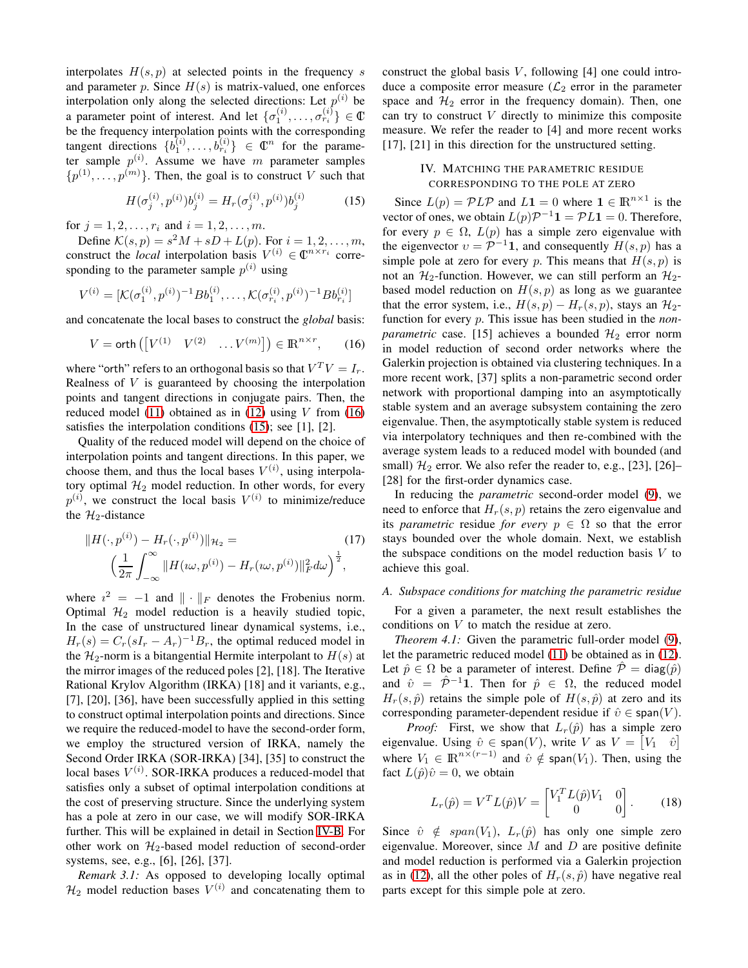interpolates  $H(s, p)$  at selected points in the frequency s and parameter p. Since  $H(s)$  is matrix-valued, one enforces interpolation only along the selected directions: Let  $p^{(i)}$  be a parameter point of interest. And let  $\{\sigma_1^{(i)}, \ldots, \sigma_{r_i}^{(i)}\} \in \mathbb{C}$ be the frequency interpolation points with the corresponding tangent directions  $\{b_1^{(i)}, \ldots, b_{r_i}^{(i)}\} \in \mathbb{C}^n$  for the parameter sample  $p^{(i)}$ . Assume we have m parameter samples  $\{p^{(1)}, \ldots, p^{(m)}\}$ . Then, the goal is to construct V such that

$$
H(\sigma_j^{(i)}, p^{(i)})b_j^{(i)} = H_r(\sigma_j^{(i)}, p^{(i)})b_j^{(i)}
$$
(15)

for  $j = 1, 2, ..., r_i$  and  $i = 1, 2, ..., m$ .

Define  $\mathcal{K}(s, p) = s^2 M + sD + L(p)$ . For  $i = 1, 2, \dots, m$ , construct the *local* interpolation basis  $V^{(i)} \in \mathbb{C}^{n \times r_i}$  corresponding to the parameter sample  $p^{(i)}$  using

$$
V^{(i)} = [\mathcal{K}(\sigma_1^{(i)}, p^{(i)})^{-1} Bb_1^{(i)}, \dots, \mathcal{K}(\sigma_{r_i}^{(i)}, p^{(i)})^{-1} Bb_{r_i}^{(i)}]
$$

and concatenate the local bases to construct the *global* basis:

$$
V = \operatorname{orth}\left(\begin{bmatrix} V^{(1)} & V^{(2)} & \dots V^{(m)} \end{bmatrix}\right) \in \mathbb{R}^{n \times r},\qquad(16)
$$

where "orth" refers to an orthogonal basis so that  $V^T V = I_r$ . Realness of  $V$  is guaranteed by choosing the interpolation points and tangent directions in conjugate pairs. Then, the reduced model [\(11\)](#page-1-5) obtained as in [\(12\)](#page-1-6) using  $V$  from [\(16\)](#page-2-1) satisfies the interpolation conditions [\(15\)](#page-2-2); see [1], [2].

Quality of the reduced model will depend on the choice of interpolation points and tangent directions. In this paper, we choose them, and thus the local bases  $V^{(i)}$ , using interpolatory optimal  $H_2$  model reduction. In other words, for every  $p^{(i)}$ , we construct the local basis  $V^{(i)}$  to minimize/reduce the  $\mathcal{H}_2$ -distance

$$
||H(\cdot, p^{(i)}) - H_r(\cdot, p^{(i)})||_{\mathcal{H}_2} = \qquad (17)
$$

$$
\left(\frac{1}{2\pi} \int_{-\infty}^{\infty} ||H(\omega, p^{(i)}) - H_r(\omega, p^{(i)})||_F^2 d\omega\right)^{\frac{1}{2}},
$$

where  $i^2 = -1$  and  $\|\cdot\|_F$  denotes the Frobenius norm. Optimal  $\mathcal{H}_2$  model reduction is a heavily studied topic, In the case of unstructured linear dynamical systems, i.e.,  $H_r(s) = C_r(sI_r - A_r)^{-1}B_r$ , the optimal reduced model in the  $\mathcal{H}_2$ -norm is a bitangential Hermite interpolant to  $H(s)$  at the mirror images of the reduced poles [2], [18]. The Iterative Rational Krylov Algorithm (IRKA) [18] and it variants, e.g., [7], [20], [36], have been successfully applied in this setting to construct optimal interpolation points and directions. Since we require the reduced-model to have the second-order form, we employ the structured version of IRKA, namely the Second Order IRKA (SOR-IRKA) [34], [35] to construct the local bases  $V^{(i)}$ . SOR-IRKA produces a reduced-model that satisfies only a subset of optimal interpolation conditions at the cost of preserving structure. Since the underlying system has a pole at zero in our case, we will modify SOR-IRKA further. This will be explained in detail in Section [IV-B.](#page-3-0) For other work on  $H_2$ -based model reduction of second-order systems, see, e.g., [6], [26], [37].

*Remark 3.1:* As opposed to developing locally optimal  $\mathcal{H}_2$  model reduction bases  $V^{(i)}$  and concatenating them to

construct the global basis  $V$ , following [4] one could introduce a composite error measure  $(\mathcal{L}_2)$  error in the parameter space and  $H_2$  error in the frequency domain). Then, one can try to construct  $V$  directly to minimize this composite measure. We refer the reader to [4] and more recent works [17], [21] in this direction for the unstructured setting.

# <span id="page-2-0"></span>IV. MATCHING THE PARAMETRIC RESIDUE CORRESPONDING TO THE POLE AT ZERO

<span id="page-2-2"></span><span id="page-2-1"></span>Since  $L(p) = \mathcal{P} L \mathcal{P}$  and  $L1 = 0$  where  $1 \in \mathbb{R}^{n \times 1}$  is the vector of ones, we obtain  $L(p)\mathcal{P}^{-1}\mathbf{1} = \mathcal{P}L\mathbf{1} = 0$ . Therefore, for every  $p \in \Omega$ ,  $L(p)$  has a simple zero eigenvalue with the eigenvector  $v = \mathcal{P}^{-1} \mathbf{1}$ , and consequently  $H(s, p)$  has a simple pole at zero for every p. This means that  $H(s, p)$  is not an  $\mathcal{H}_2$ -function. However, we can still perform an  $\mathcal{H}_2$ based model reduction on  $H(s, p)$  as long as we guarantee that the error system, i.e.,  $H(s, p) - H_r(s, p)$ , stays an  $\mathcal{H}_2$ function for every p. This issue has been studied in the *nonparametric* case. [15] achieves a bounded  $\mathcal{H}_2$  error norm in model reduction of second order networks where the Galerkin projection is obtained via clustering techniques. In a more recent work, [37] splits a non-parametric second order network with proportional damping into an asymptotically stable system and an average subsystem containing the zero eigenvalue. Then, the asymptotically stable system is reduced via interpolatory techniques and then re-combined with the average system leads to a reduced model with bounded (and small)  $\mathcal{H}_2$  error. We also refer the reader to, e.g., [23], [26]– [28] for the first-order dynamics case.

In reducing the *parametric* second-order model [\(9\)](#page-1-4), we need to enforce that  $H_r(s, p)$  retains the zero eigenvalue and its *parametric* residue *for every*  $p \in \Omega$  so that the error stays bounded over the whole domain. Next, we establish the subspace conditions on the model reduction basis  $V$  to achieve this goal.

## *A. Subspace conditions for matching the parametric residue*

<span id="page-2-3"></span>For a given a parameter, the next result establishes the conditions on V to match the residue at zero.

*Theorem 4.1:* Given the parametric full-order model [\(9\)](#page-1-4), let the parametric reduced model [\(11\)](#page-1-5) be obtained as in [\(12\)](#page-1-6). Let  $\hat{p} \in \Omega$  be a parameter of interest. Define  $\hat{\mathcal{P}} = \text{diag}(\hat{p})$ and  $\hat{v} = \hat{p}^{-1}1$ . Then for  $\hat{p} \in \Omega$ , the reduced model  $H_r(s, \hat{p})$  retains the simple pole of  $H(s, \hat{p})$  at zero and its corresponding parameter-dependent residue if  $\hat{v} \in \text{span}(V)$ .

*Proof:* First, we show that  $L_r(\hat{p})$  has a simple zero eigenvalue. Using  $\hat{v} \in \text{span}(V)$ , write V as  $V = \begin{bmatrix} V_1 & \hat{v} \end{bmatrix}$ where  $V_1 \in \mathbb{R}^{n \times (r-1)}$  and  $\hat{v} \notin \text{span}(V_1)$ . Then, using the fact  $L(\hat{p})\hat{v} = 0$ , we obtain

$$
L_r(\hat{p}) = V^T L(\hat{p}) V = \begin{bmatrix} V_1^T L(\hat{p}) V_1 & 0 \\ 0 & 0 \end{bmatrix} .
$$
 (18)

Since  $\hat{v} \notin span(V_1)$ ,  $L_r(\hat{p})$  has only one simple zero eigenvalue. Moreover, since  $M$  and  $D$  are positive definite and model reduction is performed via a Galerkin projection as in [\(12\)](#page-1-6), all the other poles of  $H_r(s, \hat{p})$  have negative real parts except for this simple pole at zero.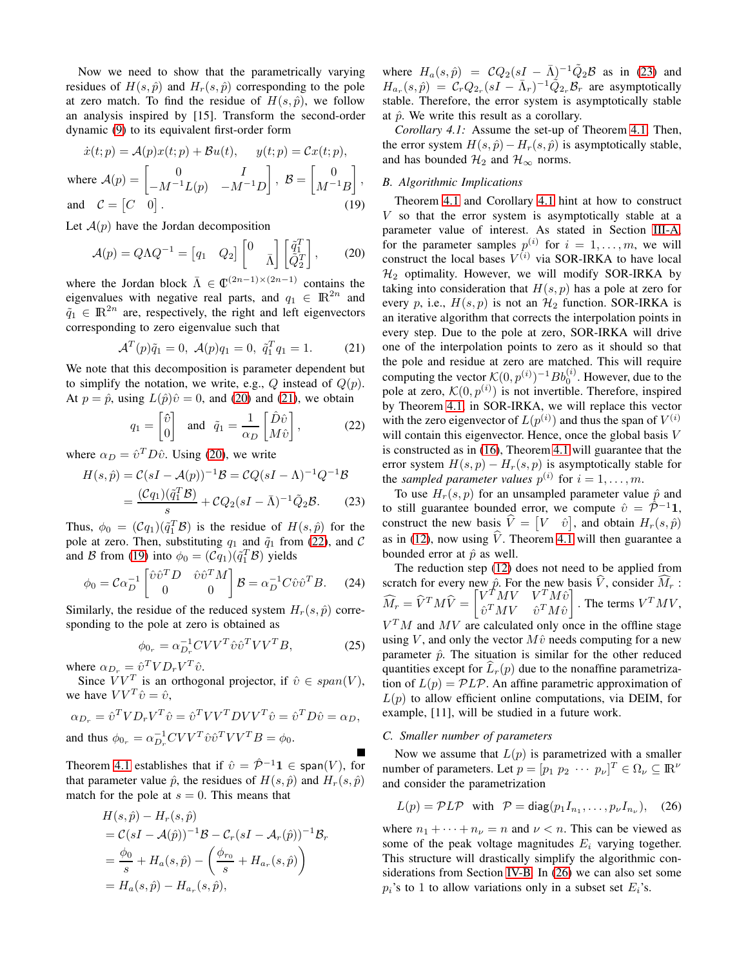Now we need to show that the parametrically varying residues of  $H(s, \hat{p})$  and  $H_r(s, \hat{p})$  corresponding to the pole at zero match. To find the residue of  $H(s, \hat{p})$ , we follow an analysis inspired by [15]. Transform the second-order dynamic [\(9\)](#page-1-4) to its equivalent first-order form

$$
\dot{x}(t; p) = \mathcal{A}(p)x(t; p) + \mathcal{B}u(t), \quad y(t; p) = \mathcal{C}x(t; p),
$$
  
where  $\mathcal{A}(p) = \begin{bmatrix} 0 & I \\ -M^{-1}L(p) & -M^{-1}D \end{bmatrix}, \quad \mathcal{B} = \begin{bmatrix} 0 \\ M^{-1}B \end{bmatrix},$   
and  $\mathcal{C} = \begin{bmatrix} C & 0 \end{bmatrix}.$  (19)

Let  $A(p)$  have the Jordan decomposition

$$
\mathcal{A}(p) = Q\Lambda Q^{-1} = \begin{bmatrix} q_1 & Q_2 \end{bmatrix} \begin{bmatrix} 0 & \bar{q}_1^T \\ \bar{Q}_2^T \end{bmatrix}, \qquad (20)
$$

where the Jordan block  $\bar{\Lambda} \in \mathbb{C}^{(2n-1)\times (2n-1)}$  contains the eigenvalues with negative real parts, and  $q_1 \in \mathbb{R}^{2n}$  and  $\tilde{q}_1 \in \mathbb{R}^{2n}$  are, respectively, the right and left eigenvectors corresponding to zero eigenvalue such that

$$
\mathcal{A}^T(p)\tilde{q}_1 = 0, \ \mathcal{A}(p)q_1 = 0, \ \tilde{q}_1^T q_1 = 1. \tag{21}
$$

We note that this decomposition is parameter dependent but to simplify the notation, we write, e.g.,  $Q$  instead of  $Q(p)$ . At  $p = \hat{p}$ , using  $L(\hat{p})\hat{v} = 0$ , and [\(20\)](#page-3-1) and [\(21\)](#page-3-2), we obtain

$$
q_1 = \begin{bmatrix} \hat{v} \\ 0 \end{bmatrix} \text{ and } \tilde{q}_1 = \frac{1}{\alpha_D} \begin{bmatrix} \hat{D}\hat{v} \\ M\hat{v} \end{bmatrix}, \tag{22}
$$

where  $\alpha_D = \hat{v}^T D \hat{v}$ . Using [\(20\)](#page-3-1), we write

$$
H(s,\hat{p}) = C(sI - A(p))^{-1}\mathcal{B} = CQ(sI - \Lambda)^{-1}Q^{-1}\mathcal{B}
$$

$$
= \frac{(Cq_1)(\tilde{q}_1^T\mathcal{B})}{s} + CQ_2(sI - \bar{\Lambda})^{-1}\tilde{Q}_2\mathcal{B}.
$$
 (23)

Thus,  $\phi_0 = (\mathcal{C}q_1)(\tilde{q}_1^T \mathcal{B})$  is the residue of  $H(s, \hat{p})$  for the pole at zero. Then, substituting  $q_1$  and  $\tilde{q}_1$  from [\(22\)](#page-3-3), and C and B from [\(19\)](#page-3-4) into  $\phi_0 = (\mathcal{C}q_1)(\tilde{q}_1^T \mathcal{B})$  yields

$$
\phi_0 = \mathcal{C}\alpha_D^{-1} \begin{bmatrix} \hat{v}\hat{v}^T D & \hat{v}\hat{v}^T M \\ 0 & 0 \end{bmatrix} \mathcal{B} = \alpha_D^{-1} C \hat{v}\hat{v}^T B. \tag{24}
$$

Similarly, the residue of the reduced system  $H_r(s, \hat{p})$  corresponding to the pole at zero is obtained as

$$
\phi_{0_r} = \alpha_{D_r}^{-1} C V V^T \hat{v} \hat{v}^T V V^T B,
$$
\n
$$
\hat{v}^T V V^T \hat{v} \hat{v}^T V V^T B,
$$
\n
$$
(25)
$$

where  $\alpha_{D_r} = \hat{v}^T V D_r V^T \hat{v}$ .

Since  $VV^T$  is an orthogonal projector, if  $\hat{v} \in span(V)$ , we have  $VV^T \hat{v} = \hat{v}$ ,

$$
\alpha_{D_r} = \hat{v}^T V D_r V^T \hat{v} = \hat{v}^T V V^T D V V^T \hat{v} = \hat{v}^T D \hat{v} = \alpha_D,
$$
  
and thus  $\phi_{0_r} = \alpha_{D_r}^{-1} C V V^T \hat{v} \hat{v}^T V V^T B = \phi_0.$ 

Theorem [4.1](#page-2-3) establishes that if  $\hat{v} = \hat{P}^{-1} \mathbf{1} \in \text{span}(V)$ , for that parameter value  $\hat{p}$ , the residues of  $H(s, \hat{p})$  and  $H_r(s, \hat{p})$ match for the pole at  $s = 0$ . This means that

$$
H(s,\hat{p}) - H_r(s,\hat{p})
$$
  
=  $\mathcal{C}(sI - \mathcal{A}(\hat{p}))^{-1}\mathcal{B} - \mathcal{C}_r(sI - \mathcal{A}_r(\hat{p}))^{-1}\mathcal{B}_r$   
=  $\frac{\phi_0}{s} + H_a(s,\hat{p}) - \left(\frac{\phi_{r_0}}{s} + H_{a_r}(s,\hat{p})\right)$   
=  $H_a(s,\hat{p}) - H_{a_r}(s,\hat{p}),$ 

where  $H_a(s,\hat{p}) = CQ_2(sI - \bar{\Lambda})^{-1} \tilde{Q}_2 \mathcal{B}$  as in [\(23\)](#page-3-5) and  $H_{a_r}(s,\hat{p}) = C_r Q_{2_r}(sI - \bar{\Lambda}_r)^{-1} \tilde{Q}_{2_r} \mathcal{B}_r$  are asymptotically stable. Therefore, the error system is asymptotically stable at  $\hat{p}$ . We write this result as a corollary.

<span id="page-3-6"></span>*Corollary 4.1:* Assume the set-up of Theorem [4.1.](#page-2-3) Then, the error system  $H(s, \hat{p}) - H_r(s, \hat{p})$  is asymptotically stable, and has bounded  $\mathcal{H}_2$  and  $\mathcal{H}_{\infty}$  norms.

## <span id="page-3-0"></span>*B. Algorithmic Implications*

<span id="page-3-4"></span><span id="page-3-2"></span><span id="page-3-1"></span>Theorem [4.1](#page-2-3) and Corollary [4.1](#page-3-6) hint at how to construct  $V$  so that the error system is asymptotically stable at a parameter value of interest. As stated in Section [III-A,](#page-1-7) for the parameter samples  $p^{(i)}$  for  $i = 1, \ldots, m$ , we will construct the local bases  $V^{(i)}$  via SOR-IRKA to have local  $\mathcal{H}_2$  optimality. However, we will modify SOR-IRKA by taking into consideration that  $H(s, p)$  has a pole at zero for every p, i.e.,  $H(s, p)$  is not an  $H_2$  function. SOR-IRKA is an iterative algorithm that corrects the interpolation points in every step. Due to the pole at zero, SOR-IRKA will drive one of the interpolation points to zero as it should so that the pole and residue at zero are matched. This will require computing the vector  $\mathcal{K}(0, p^{(i)})^{-1}Bb_0^{(i)}$ . However, due to the pole at zero,  $\mathcal{K}(0, p^{(i)})$  is not invertible. Therefore, inspired by Theorem [4.1,](#page-2-3) in SOR-IRKA, we will replace this vector with the zero eigenvector of  $L(p^{(i)})$  and thus the span of  $V^{(i)}$ will contain this eigenvector. Hence, once the global basis V is constructed as in [\(16\)](#page-2-1), Theorem [4.1](#page-2-3) will guarantee that the error system  $H(s, p) - H_r(s, p)$  is asymptotically stable for the *sampled parameter values*  $p^{(i)}$  for  $i = 1, \ldots, m$ .

<span id="page-3-5"></span><span id="page-3-3"></span>To use  $H_r(s, p)$  for an unsampled parameter value  $\hat{p}$  and to still guarantee bounded error, we compute  $\hat{v} = \overline{\mathcal{P}}^{-1} \mathbf{1}$ , construct the new basis  $\hat{V} = \begin{bmatrix} V & \hat{v} \end{bmatrix}$ , and obtain  $H_r(s, \hat{p})$ as in [\(12\)](#page-1-6), now using  $\hat{V}$ . Theorem [4.1](#page-2-3) will then guarantee a bounded error at  $\hat{p}$  as well.

The reduction step [\(12\)](#page-1-6) does not need to be applied from scratch for every new  $\hat{p}$ . For the new basis V, consider  $M_r$ :  $\widehat{M}_r = \widehat{V}^T M \widehat{V} = \begin{bmatrix} V^{\hat{T}} M V & V^T M \hat{v} \ \widehat{v}^T M V & \widehat{v}^T M \hat{v} \end{bmatrix}$  $\hat{v}^T M V \quad \hat{v}^T M \hat{v}$ 1 . The terms  $V^T M V$ ,  $V<sup>T</sup>M$  and  $MV$  are calculated only once in the offline stage using V, and only the vector  $M\hat{v}$  needs computing for a new parameter  $\hat{p}$ . The situation is similar for the other reduced quantities except for  $L_r(p)$  due to the nonaffine parametrization of  $L(p) = PLP$ . An affine parametric approximation of  $L(p)$  to allow efficient online computations, via DEIM, for example, [11], will be studied in a future work.

## *C. Smaller number of parameters*

Now we assume that  $L(p)$  is parametrized with a smaller number of parameters. Let  $p = [p_1 \ p_2 \ \cdots \ p_\nu]^T \in \Omega_\nu \subseteq \mathbb{R}^\nu$ and consider the parametrization

<span id="page-3-8"></span><span id="page-3-7"></span>
$$
L(p) = \mathcal{P}L\mathcal{P} \text{ with } \mathcal{P} = \text{diag}(p_1 I_{n_1}, \dots, p_{\nu} I_{n_{\nu}}), \quad (26)
$$

where  $n_1 + \cdots + n_{\nu} = n$  and  $\nu < n$ . This can be viewed as some of the peak voltage magnitudes  $E_i$  varying together. This structure will drastically simplify the algorithmic considerations from Section [IV-B.](#page-3-0) In [\(26\)](#page-3-7) we can also set some  $p_i$ 's to 1 to allow variations only in a subset set  $E_i$ 's.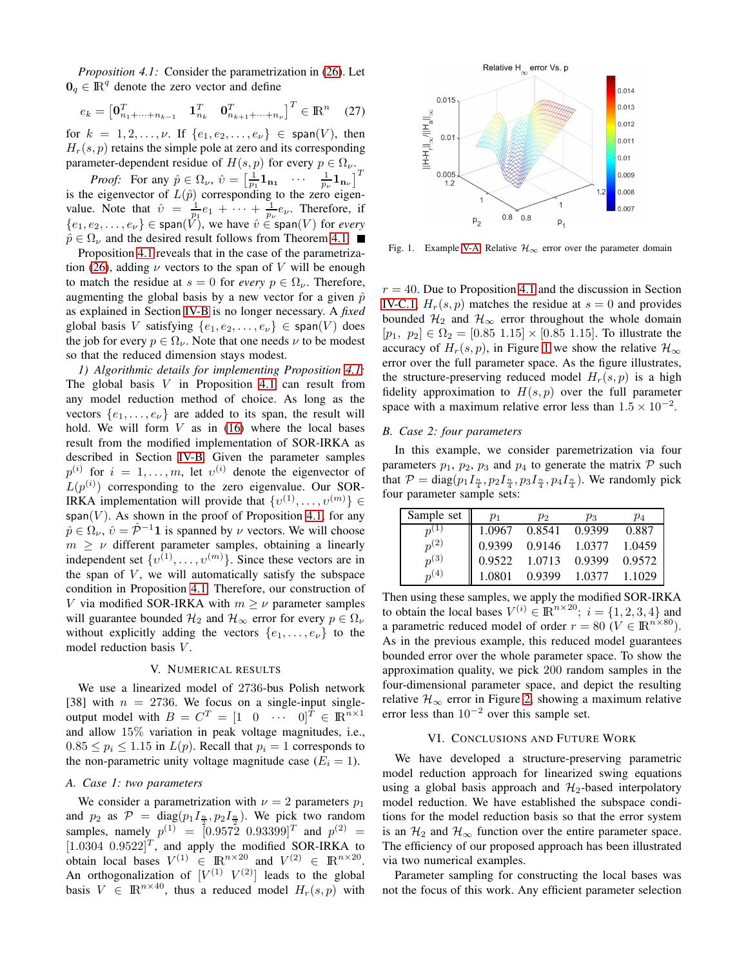*Proposition 4.1:* Consider the parametrization in [\(26\)](#page-3-7). Let  $0_q \in \mathbb{R}^q$  denote the zero vector and define

$$
e_k = \begin{bmatrix} \mathbf{0}_{n_1 + \dots + n_{k-1}}^T & \mathbf{1}_{n_k}^T & \mathbf{0}_{n_{k+1} + \dots + n_{\nu}}^T \end{bmatrix}^T \in \mathbb{R}^n \quad (27)
$$

for  $k = 1, 2, ..., \nu$ . If  $\{e_1, e_2, ..., e_{\nu}\}\in \text{span}(V)$ , then  $H_r(s, p)$  retains the simple pole at zero and its corresponding parameter-dependent residue of  $H(s, p)$  for every  $p \in \Omega_{\nu}$ .

*Proof:* For any  $\hat{p} \in \Omega_{\nu}$ ,  $\hat{v} = \begin{bmatrix} \frac{1}{p_1} \mathbf{1}_{n_1} & \cdots & \frac{1}{p_{\nu}} \mathbf{1}_{n_{\nu}} \end{bmatrix}^T$ is the eigenvector of  $L(\hat{p})$  corresponding to the zero eigenvalue. Note that  $\hat{v} = \frac{1}{p_1}e_1 + \cdots + \frac{1}{p_\nu}e_\nu$ . Therefore, if  ${e_1, e_2, \ldots, e_{\nu}} \in \text{span}(\hat{V})$ , we have  $\hat{v} \in \text{span}(V)$  for *every*  $\hat{p} \in \Omega_{\nu}$  and the desired result follows from Theorem [4.1.](#page-2-3)

Proposition [4.1](#page-3-8) reveals that in the case of the parametriza-tion [\(26\)](#page-3-7), adding  $\nu$  vectors to the span of V will be enough to match the residue at  $s = 0$  for *every*  $p \in \Omega_{\nu}$ . Therefore, augmenting the global basis by a new vector for a given  $\hat{p}$ as explained in Section [IV-B](#page-3-0) is no longer necessary. A *fixed* global basis V satisfying  $\{e_1, e_2, \ldots, e_{\nu}\} \in \text{span}(V)$  does the job for every  $p \in \Omega_{\nu}$ . Note that one needs  $\nu$  to be modest so that the reduced dimension stays modest.

<span id="page-4-3"></span>*1) Algorithmic details for implementing Proposition [4.1:](#page-3-8)* The global basis  $V$  in Proposition [4.1](#page-3-8) can result from any model reduction method of choice. As long as the vectors  $\{e_1, \ldots, e_{\nu}\}\$  are added to its span, the result will hold. We will form  $V$  as in [\(16\)](#page-2-1) where the local bases result from the modified implementation of SOR-IRKA as described in Section [IV-B.](#page-3-0) Given the parameter samples  $p^{(i)}$  for  $i = 1, \ldots, m$ , let  $v^{(i)}$  denote the eigenvector of  $L(p^{(i)})$  corresponding to the zero eigenvalue. Our SOR-IRKA implementation will provide that  $\{v^{(1)}, \ldots, v^{(m)}\} \in$ span( $V$ ). As shown in the proof of Proposition [4.1,](#page-3-8) for any  $\hat{p} \in \Omega_{\nu}$ ,  $\hat{v} = \hat{P}^{-1} \mathbf{1}$  is spanned by  $\nu$  vectors. We will choose  $m \geq \nu$  different parameter samples, obtaining a linearly independent set  $\{v^{(1)}, \ldots, v^{(m)}\}$ . Since these vectors are in the span of  $V$ , we will automatically satisfy the subspace condition in Proposition [4.1.](#page-3-8) Therefore, our construction of V via modified SOR-IRKA with  $m \geq \nu$  parameter samples will guarantee bounded  $\mathcal{H}_2$  and  $\mathcal{H}_{\infty}$  error for every  $p \in \Omega_{\nu}$ without explicitly adding the vectors  $\{e_1, \ldots, e_{\nu}\}\$  to the model reduction basis V.

#### V. NUMERICAL RESULTS

<span id="page-4-0"></span>We use a linearized model of 2736-bus Polish network [38] with  $n = 2736$ . We focus on a single-input singleoutput model with  $B = C^T = \begin{bmatrix} 1 & 0 & \cdots & 0 \end{bmatrix}^T \in \mathbb{R}^{n \times 1}$ and allow 15% variation in peak voltage magnitudes, i.e.,  $0.85 \le p_i \le 1.15$  in  $L(p)$ . Recall that  $p_i = 1$  corresponds to the non-parametric unity voltage magnitude case  $(E_i = 1)$ .

#### <span id="page-4-2"></span>*A. Case 1: two parameters*

We consider a parametrization with  $\nu = 2$  parameters  $p_1$ and  $p_2$  as  $\mathcal{P} = \text{diag}(p_1 I_{\frac{n}{2}}, p_2 I_{\frac{n}{2}})$ . We pick two random samples, namely  $p^{(1)} = [0.9572 \ 0.93399]^T$  and  $p^{(2)} =$  $[1.0304 \; 0.9522]^T$ , and apply the modified SOR-IRKA to obtain local bases  $V^{(1)} \in \mathbb{R}^{n \times 20}$  and  $V^{(2)} \in \mathbb{R}^{n \times 20}$ . An orthogonalization of  $[V^{(1)} \, V^{(2)}]$  leads to the global basis  $V \in \mathbb{R}^{n \times 40}$ , thus a reduced model  $H_r(s, p)$  with



<span id="page-4-4"></span>Fig. 1. Example [V-A:](#page-4-2) Relative  $\mathcal{H}_{\infty}$  error over the parameter domain

 $r = 40$ . Due to Proposition [4.1](#page-3-8) and the discussion in Section [IV-C.1,](#page-4-3)  $H_r(s, p)$  matches the residue at  $s = 0$  and provides bounded  $\mathcal{H}_2$  and  $\mathcal{H}_{\infty}$  error throughout the whole domain  $[p_1, p_2] \in \Omega_2 = [0.85 \; 1.15] \times [0.85 \; 1.15]$ . To illustrate the accuracy of  $H_r(s, p)$ , in Figure [1](#page-4-4) we show the relative  $\mathcal{H}_{\infty}$ error over the full parameter space. As the figure illustrates, the structure-preserving reduced model  $H_r(s, p)$  is a high fidelity approximation to  $H(s, p)$  over the full parameter space with a maximum relative error less than  $1.5 \times 10^{-2}$ .

## <span id="page-4-5"></span>*B. Case 2: four parameters*

In this example, we consider paremetrization via four parameters  $p_1$ ,  $p_2$ ,  $p_3$  and  $p_4$  to generate the matrix  $P$  such that  $P = \text{diag}(p_1 I_{\frac{n}{4}}, p_2 I_{\frac{n}{4}}, p_3 I_{\frac{n}{4}}, p_4 I_{\frac{n}{4}})$ . We randomly pick four parameter sample sets:

| Sample set | $p_1$  | $p_{2}$ | $p_3$         | $p_4$  |
|------------|--------|---------|---------------|--------|
|            | 1.0967 | 0.8541  | 0.9399        | 0.887  |
| $p^{(2)}$  | 0.9399 |         | 0.9146 1.0377 | 1.0459 |
| $p^{(3)}$  | 0.9522 | 1.0713  | 0.9399        | 0.9572 |
| $n^{(4)}$  | 1.0801 | 0.9399  | 1.0377        | 1 1029 |

Then using these samples, we apply the modified SOR-IRKA to obtain the local bases  $V^{(i)} \in \mathbb{R}^{n \times 20}$ ;  $i = \{1, 2, 3, 4\}$  and a parametric reduced model of order  $r = 80$  ( $V \in \mathbb{R}^{n \times 80}$ ). As in the previous example, this reduced model guarantees bounded error over the whole parameter space. To show the approximation quality, we pick 200 random samples in the four-dimensional parameter space, and depict the resulting relative  $\mathcal{H}_{\infty}$  error in Figure [2,](#page-5-0) showing a maximum relative error less than  $10^{-2}$  over this sample set.

## VI. CONCLUSIONS AND FUTURE WORK

<span id="page-4-1"></span>We have developed a structure-preserving parametric model reduction approach for linearized swing equations using a global basis approach and  $\mathcal{H}_2$ -based interpolatory model reduction. We have established the subspace conditions for the model reduction basis so that the error system is an  $\mathcal{H}_2$  and  $\mathcal{H}_{\infty}$  function over the entire parameter space. The efficiency of our proposed approach has been illustrated via two numerical examples.

Parameter sampling for constructing the local bases was not the focus of this work. Any efficient parameter selection